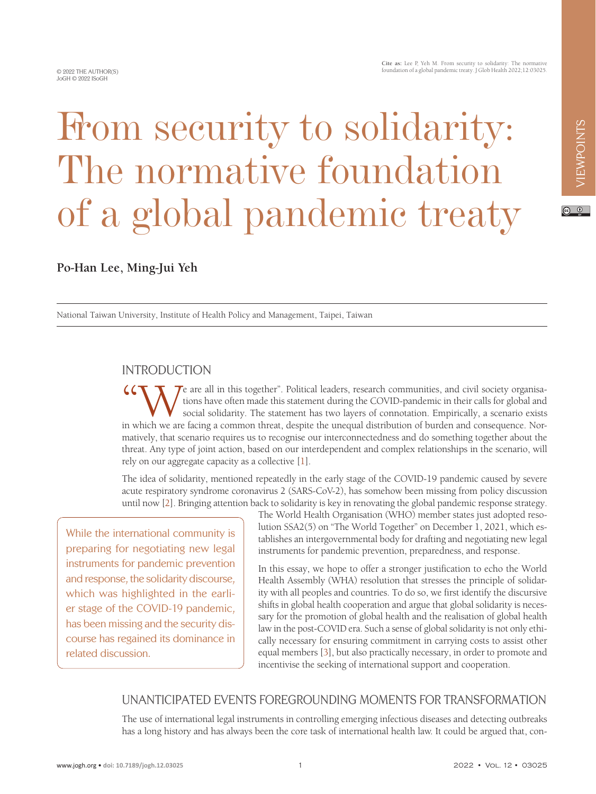**Cite as:** Lee P, Yeh M. From security to solidarity: The normative foundation of a global pandemic treaty. J Glob Health 2022;12:03025.

#### © 2022 THE AUTHOR(S) JoGH © 2022 ISoGH

# From security to solidarity: The normative foundation of a global pandemic treaty

# **Po-Han Lee, Ming-Jui Yeh**

National Taiwan University, Institute of Health Policy and Management, Taipei, Taiwan

## INTRODUCTION

 $\tau$ e are all in this together". Political leaders, research communities, and civil society organisations have often made this statement during the COVID-pandemic in their calls for global and social solidarity. The statement has two layers of connotation. Empirically, a scenario exists in which we are facing a common threat, despite the unequal distribution of burden and consequence. Normatively, that scenario requires us to recognise our interconnectedness and do something together about the threat. Any type of joint action, based on our interdependent and complex relationships in the scenario, will rely on our aggregate capacity as a collective [\[1](#page-2-0)].

The idea of solidarity, mentioned repeatedly in the early stage of the COVID-19 pandemic caused by severe acute respiratory syndrome coronavirus 2 (SARS-CoV-2), has somehow been missing from policy discussion until now [[2\]](#page-2-1). Bringing attention back to solidarity is key in renovating the global pandemic response strategy.

While the international community is preparing for negotiating new legal instruments for pandemic prevention and response, the solidarity discourse, which was highlighted in the earlier stage of the COVID-19 pandemic, has been missing and the security discourse has regained its dominance in related discussion.

The World Health Organisation (WHO) member states just adopted resolution SSA2(5) on "The World Together" on December 1, 2021, which establishes an intergovernmental body for drafting and negotiating new legal instruments for pandemic prevention, preparedness, and response.

In this essay, we hope to offer a stronger justification to echo the World Health Assembly (WHA) resolution that stresses the principle of solidarity with all peoples and countries. To do so, we first identify the discursive shifts in global health cooperation and argue that global solidarity is necessary for the promotion of global health and the realisation of global health law in the post-COVID era. Such a sense of global solidarity is not only ethically necessary for ensuring commitment in carrying costs to assist other equal members [\[3](#page-2-2)], but also practically necessary, in order to promote and incentivise the seeking of international support and cooperation.

# UNANTICIPATED EVENTS FOREGROUNDING MOMENTS FOR TRANSFORMATION

The use of international legal instruments in controlling emerging infectious diseases and detecting outbreaks has a long history and has always been the core task of international health law. It could be argued that, con-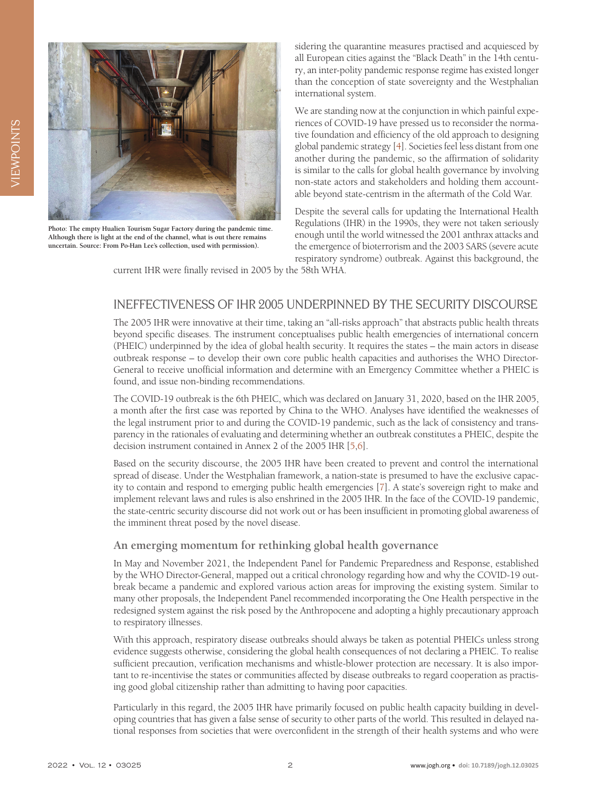

**Photo: The empty Hualien Tourism Sugar Factory during the pandemic time. Although there is light at the end of the channel, what is out there remains uncertain. Source: From Po-Han Lee's collection, used with permission).**

sidering the quarantine measures practised and acquiesced by all European cities against the "Black Death" in the 14th century, an inter-polity pandemic response regime has existed longer than the conception of state sovereignty and the Westphalian international system.

We are standing now at the conjunction in which painful experiences of COVID-19 have pressed us to reconsider the normative foundation and efficiency of the old approach to designing global pandemic strategy [[4](#page-2-3)]. Societies feel less distant from one another during the pandemic, so the affirmation of solidarity is similar to the calls for global health governance by involving non-state actors and stakeholders and holding them accountable beyond state-centrism in the aftermath of the Cold War.

Despite the several calls for updating the International Health Regulations (IHR) in the 1990s, they were not taken seriously enough until the world witnessed the 2001 anthrax attacks and the emergence of bioterrorism and the 2003 SARS (severe acute respiratory syndrome) outbreak. Against this background, the

current IHR were finally revised in 2005 by the 58th WHA.

# INEFFECTIVENESS OF IHR 2005 UNDERPINNED BY THE SECURITY DISCOURSE

The 2005 IHR were innovative at their time, taking an "all-risks approach" that abstracts public health threats beyond specific diseases. The instrument conceptualises public health emergencies of international concern (PHEIC) underpinned by the idea of global health security. It requires the states – the main actors in disease outbreak response – to develop their own core public health capacities and authorises the WHO Director-General to receive unofficial information and determine with an Emergency Committee whether a PHEIC is found, and issue non-binding recommendations.

The COVID-19 outbreak is the 6th PHEIC, which was declared on January 31, 2020, based on the IHR 2005, a month after the first case was reported by China to the WHO. Analyses have identified the weaknesses of the legal instrument prior to and during the COVID-19 pandemic, such as the lack of consistency and transparency in the rationales of evaluating and determining whether an outbreak constitutes a PHEIC, despite the decision instrument contained in Annex 2 of the 2005 IHR [[5](#page-2-4)[,6](#page-2-5)].

Based on the security discourse, the 2005 IHR have been created to prevent and control the international spread of disease. Under the Westphalian framework, a nation-state is presumed to have the exclusive capacity to contain and respond to emerging public health emergencies [\[7](#page-2-6)]. A state's sovereign right to make and implement relevant laws and rules is also enshrined in the 2005 IHR. In the face of the COVID-19 pandemic, the state-centric security discourse did not work out or has been insufficient in promoting global awareness of the imminent threat posed by the novel disease.

## **An emerging momentum for rethinking global health governance**

In May and November 2021, the Independent Panel for Pandemic Preparedness and Response, established by the WHO Director-General, mapped out a critical chronology regarding how and why the COVID-19 outbreak became a pandemic and explored various action areas for improving the existing system. Similar to many other proposals, the Independent Panel recommended incorporating the One Health perspective in the redesigned system against the risk posed by the Anthropocene and adopting a highly precautionary approach to respiratory illnesses.

With this approach, respiratory disease outbreaks should always be taken as potential PHEICs unless strong evidence suggests otherwise, considering the global health consequences of not declaring a PHEIC. To realise sufficient precaution, verification mechanisms and whistle-blower protection are necessary. It is also important to re-incentivise the states or communities affected by disease outbreaks to regard cooperation as practising good global citizenship rather than admitting to having poor capacities.

Particularly in this regard, the 2005 IHR have primarily focused on public health capacity building in developing countries that has given a false sense of security to other parts of the world. This resulted in delayed national responses from societies that were overconfident in the strength of their health systems and who were